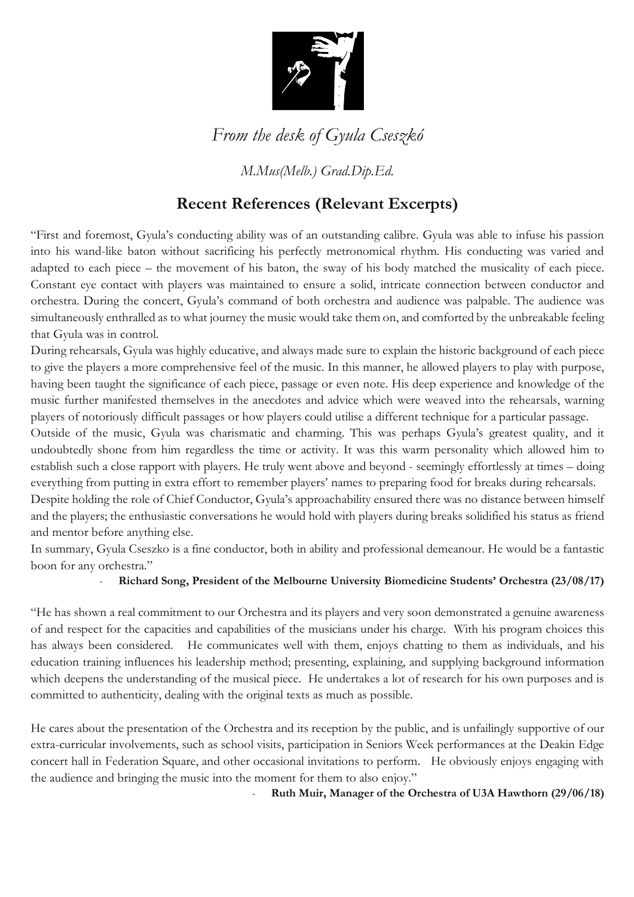

## *From the desk of Gyula Cseszkó*

*M.Mus(Melb.) Grad.Dip.Ed.*

## **Recent References (Relevant Excerpts)**

"First and foremost, Gyula's conducting ability was of an outstanding calibre. Gyula was able to infuse his passion into his wand-like baton without sacrificing his perfectly metronomical rhythm. His conducting was varied and adapted to each piece – the movement of his baton, the sway of his body matched the musicality of each piece. Constant eye contact with players was maintained to ensure a solid, intricate connection between conductor and orchestra. During the concert, Gyula's command of both orchestra and audience was palpable. The audience was simultaneously enthralled as to what journey the music would take them on, and comforted by the unbreakable feeling that Gyula was in control.

During rehearsals, Gyula was highly educative, and always made sure to explain the historic background of each piece to give the players a more comprehensive feel of the music. In this manner, he allowed players to play with purpose, having been taught the significance of each piece, passage or even note. His deep experience and knowledge of the music further manifested themselves in the anecdotes and advice which were weaved into the rehearsals, warning players of notoriously difficult passages or how players could utilise a different technique for a particular passage.

Outside of the music, Gyula was charismatic and charming. This was perhaps Gyula's greatest quality, and it undoubtedly shone from him regardless the time or activity. It was this warm personality which allowed him to establish such a close rapport with players. He truly went above and beyond - seemingly effortlessly at times – doing everything from putting in extra effort to remember players' names to preparing food for breaks during rehearsals.

Despite holding the role of Chief Conductor, Gyula's approachability ensured there was no distance between himself and the players; the enthusiastic conversations he would hold with players during breaks solidified his status as friend and mentor before anything else.

In summary, Gyula Cseszko is a fine conductor, both in ability and professional demeanour. He would be a fantastic boon for any orchestra."

- **Richard Song, President of the Melbourne University Biomedicine Students' Orchestra (23/08/17)**

"He has shown a real commitment to our Orchestra and its players and very soon demonstrated a genuine awareness of and respect for the capacities and capabilities of the musicians under his charge. With his program choices this has always been considered. He communicates well with them, enjoys chatting to them as individuals, and his education training influences his leadership method; presenting, explaining, and supplying background information which deepens the understanding of the musical piece. He undertakes a lot of research for his own purposes and is committed to authenticity, dealing with the original texts as much as possible.

He cares about the presentation of the Orchestra and its reception by the public, and is unfailingly supportive of our extra-curricular involvements, such as school visits, participation in Seniors Week performances at the Deakin Edge concert hall in Federation Square, and other occasional invitations to perform. He obviously enjoys engaging with the audience and bringing the music into the moment for them to also enjoy."

- **Ruth Muir, Manager of the Orchestra of U3A Hawthorn (29/06/18)**